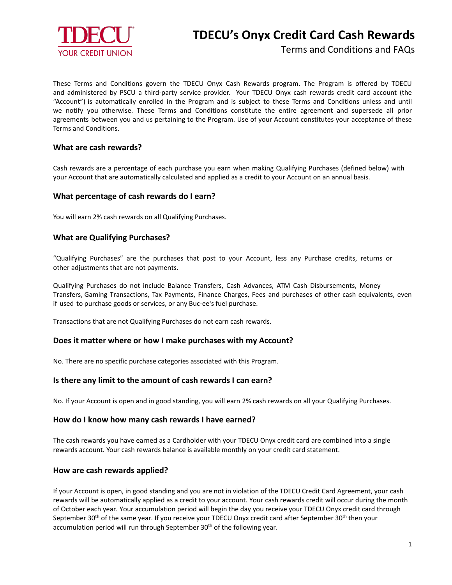

# **TDECU's Onyx Credit Card Cash Rewards**

Terms and Conditions and FAQs

These Terms and Conditions govern the TDECU Onyx Cash Rewards program. The Program is offered by TDECU and administered by PSCU a third-party service provider. Your TDECU Onyx cash rewards credit card account (the "Account") is automatically enrolled in the Program and is subject to these Terms and Conditions unless and until we notify you otherwise. These Terms and Conditions constitute the entire agreement and supersede all prior agreements between you and us pertaining to the Program. Use of your Account constitutes your acceptance of these Terms and Conditions.

## **What are cash rewards?**

Cash rewards are a percentage of each purchase you earn when making Qualifying Purchases (defined below) with your Account that are automatically calculated and applied as a credit to your Account on an annual basis.

## **What percentage of cash rewards do I earn?**

You will earn 2% cash rewards on all Qualifying Purchases.

## **What are Qualifying Purchases?**

"Qualifying Purchases" are the purchases that post to your Account, less any Purchase credits, returns or other adjustments that are not payments.

Qualifying Purchases do not include Balance Transfers, Cash Advances, ATM Cash Disbursements, Money Transfers, Gaming Transactions, Tax Payments, Finance Charges, Fees and purchases of other cash equivalents, even if used to purchase goods or services, or any Buc-ee's fuel purchase.

Transactions that are not Qualifying Purchases do not earn cash rewards.

#### **Does it matter where or how I make purchases with my Account?**

No. There are no specific purchase categories associated with this Program.

#### **Is there any limit to the amount of cash rewards I can earn?**

No. If your Account is open and in good standing, you will earn 2% cash rewards on all your Qualifying Purchases.

# **How do I know how many cash rewards I have earned?**

The cash rewards you have earned as a Cardholder with your TDECU Onyx credit card are combined into a single rewards account. Your cash rewards balance is available monthly on your credit card statement.

#### **How are cash rewards applied?**

If your Account is open, in good standing and you are not in violation of the TDECU Credit Card Agreement, your cash rewards will be automatically applied as a credit to your account. Your cash rewards credit will occur during the month of October each year. Your accumulation period will begin the day you receive your TDECU Onyx credit card through September 30<sup>th</sup> of the same year. If you receive your TDECU Onyx credit card after September 30<sup>th</sup> then your accumulation period will run through September 30<sup>th</sup> of the following year.